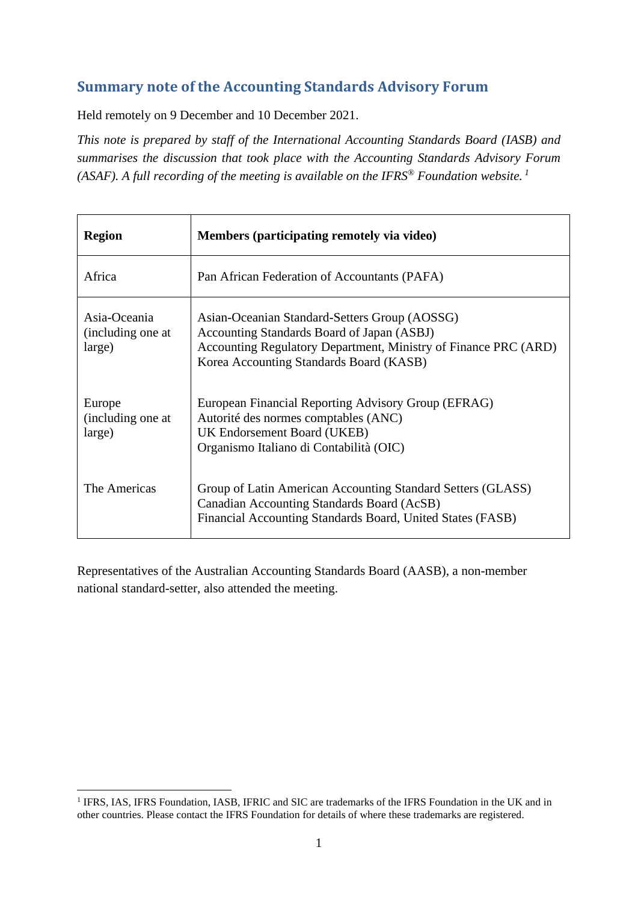# **Summary note of the Accounting Standards Advisory Forum**

Held remotely on 9 December and 10 December 2021.

*This note is prepared by staff of the International Accounting Standards Board (IASB) and summarises the discussion that took place with the Accounting Standards Advisory Forum (ASAF). A full recording of the meeting is available on the IFRS® Foundation website. 1*

| <b>Region</b>                               | Members (participating remotely via video)                                                                                                                                                                |
|---------------------------------------------|-----------------------------------------------------------------------------------------------------------------------------------------------------------------------------------------------------------|
| Africa                                      | Pan African Federation of Accountants (PAFA)                                                                                                                                                              |
| Asia-Oceania<br>(including one at<br>large) | Asian-Oceanian Standard-Setters Group (AOSSG)<br>Accounting Standards Board of Japan (ASBJ)<br>Accounting Regulatory Department, Ministry of Finance PRC (ARD)<br>Korea Accounting Standards Board (KASB) |
| Europe<br>(including one at<br>large)       | European Financial Reporting Advisory Group (EFRAG)<br>Autorité des normes comptables (ANC)<br>UK Endorsement Board (UKEB)<br>Organismo Italiano di Contabilità (OIC)                                     |
| The Americas                                | Group of Latin American Accounting Standard Setters (GLASS)<br>Canadian Accounting Standards Board (AcSB)<br>Financial Accounting Standards Board, United States (FASB)                                   |

Representatives of the Australian Accounting Standards Board (AASB), a non-member national standard-setter, also attended the meeting.

<sup>&</sup>lt;sup>1</sup> IFRS, IAS, IFRS Foundation, IASB, IFRIC and SIC are trademarks of the IFRS Foundation in the UK and in other countries. Please contact the IFRS Foundation for details of where these trademarks are registered.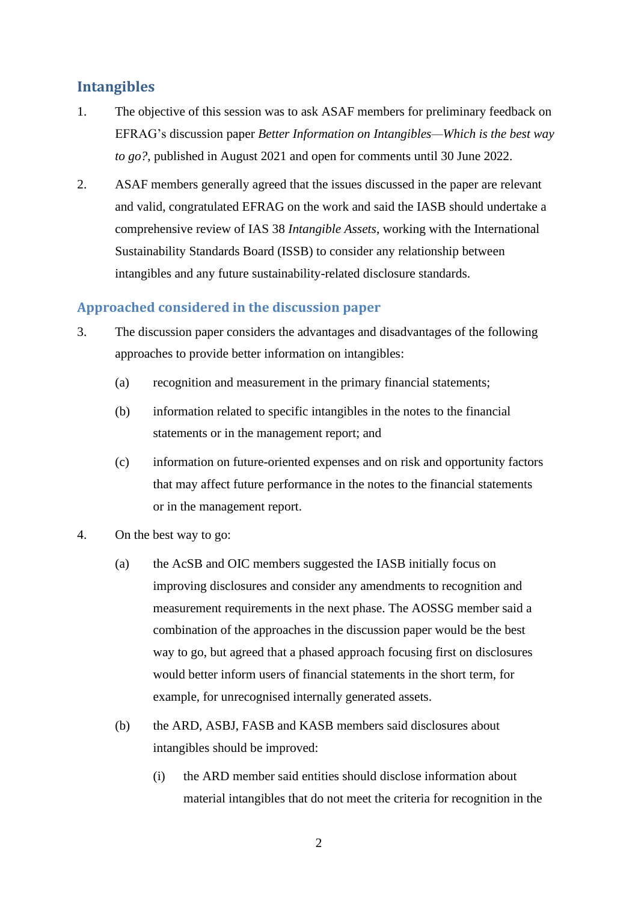# **Intangibles**

- 1. The objective of this session was to ask ASAF members for preliminary feedback on EFRAG's discussion paper *Better Information on Intangibles—Which is the best way to go?*, published in August 2021 and open for comments until 30 June 2022.
- 2. ASAF members generally agreed that the issues discussed in the paper are relevant and valid, congratulated EFRAG on the work and said the IASB should undertake a comprehensive review of IAS 38 *Intangible Assets*, working with the International Sustainability Standards Board (ISSB) to consider any relationship between intangibles and any future sustainability-related disclosure standards.

## **Approached considered in the discussion paper**

- 3. The discussion paper considers the advantages and disadvantages of the following approaches to provide better information on intangibles:
	- (a) recognition and measurement in the primary financial statements;
	- (b) information related to specific intangibles in the notes to the financial statements or in the management report; and
	- (c) information on future-oriented expenses and on risk and opportunity factors that may affect future performance in the notes to the financial statements or in the management report.
- 4. On the best way to go:
	- (a) the AcSB and OIC members suggested the IASB initially focus on improving disclosures and consider any amendments to recognition and measurement requirements in the next phase. The AOSSG member said a combination of the approaches in the discussion paper would be the best way to go, but agreed that a phased approach focusing first on disclosures would better inform users of financial statements in the short term, for example, for unrecognised internally generated assets.
	- (b) the ARD, ASBJ, FASB and KASB members said disclosures about intangibles should be improved:
		- (i) the ARD member said entities should disclose information about material intangibles that do not meet the criteria for recognition in the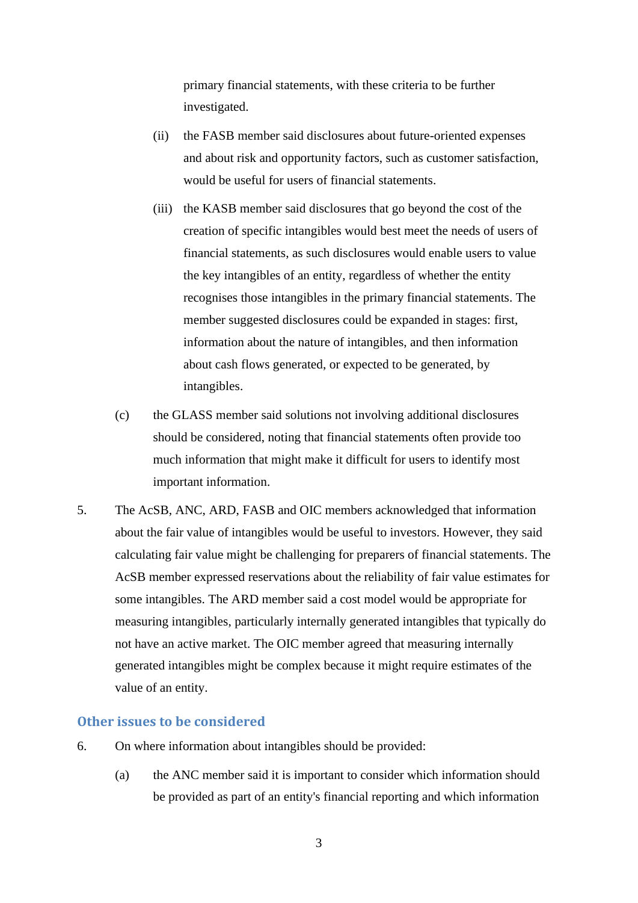primary financial statements, with these criteria to be further investigated.

- (ii) the FASB member said disclosures about future-oriented expenses and about risk and opportunity factors, such as customer satisfaction, would be useful for users of financial statements.
- (iii) the KASB member said disclosures that go beyond the cost of the creation of specific intangibles would best meet the needs of users of financial statements, as such disclosures would enable users to value the key intangibles of an entity, regardless of whether the entity recognises those intangibles in the primary financial statements. The member suggested disclosures could be expanded in stages: first, information about the nature of intangibles, and then information about cash flows generated, or expected to be generated, by intangibles.
- (c) the GLASS member said solutions not involving additional disclosures should be considered, noting that financial statements often provide too much information that might make it difficult for users to identify most important information.
- 5. The AcSB, ANC, ARD, FASB and OIC members acknowledged that information about the fair value of intangibles would be useful to investors. However, they said calculating fair value might be challenging for preparers of financial statements. The AcSB member expressed reservations about the reliability of fair value estimates for some intangibles. The ARD member said a cost model would be appropriate for measuring intangibles, particularly internally generated intangibles that typically do not have an active market. The OIC member agreed that measuring internally generated intangibles might be complex because it might require estimates of the value of an entity.

## **Other issues to be considered**

- 6. On where information about intangibles should be provided:
	- (a) the ANC member said it is important to consider which information should be provided as part of an entity's financial reporting and which information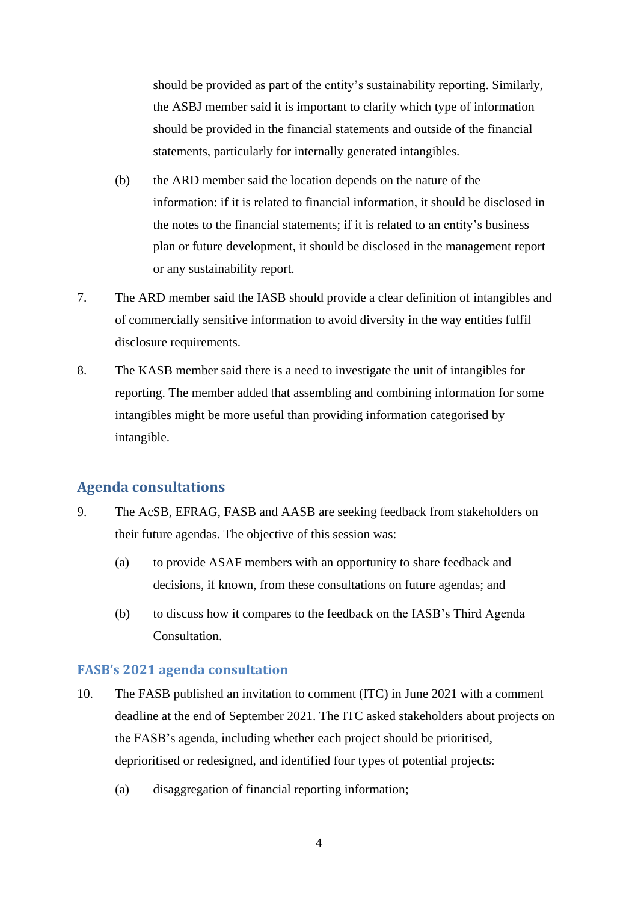should be provided as part of the entity's sustainability reporting. Similarly, the ASBJ member said it is important to clarify which type of information should be provided in the financial statements and outside of the financial statements, particularly for internally generated intangibles.

- (b) the ARD member said the location depends on the nature of the information: if it is related to financial information, it should be disclosed in the notes to the financial statements; if it is related to an entity's business plan or future development, it should be disclosed in the management report or any sustainability report.
- 7. The ARD member said the IASB should provide a clear definition of intangibles and of commercially sensitive information to avoid diversity in the way entities fulfil disclosure requirements.
- 8. The KASB member said there is a need to investigate the unit of intangibles for reporting. The member added that assembling and combining information for some intangibles might be more useful than providing information categorised by intangible.

## **Agenda consultations**

- 9. The AcSB, EFRAG, FASB and AASB are seeking feedback from stakeholders on their future agendas. The objective of this session was:
	- (a) to provide ASAF members with an opportunity to share feedback and decisions, if known, from these consultations on future agendas; and
	- (b) to discuss how it compares to the feedback on the IASB's Third Agenda Consultation.

### **FASB's 2021 agenda consultation**

- 10. The FASB published an invitation to comment (ITC) in June 2021 with a comment deadline at the end of September 2021. The ITC asked stakeholders about projects on the FASB's agenda, including whether each project should be prioritised, deprioritised or redesigned, and identified four types of potential projects:
	- (a) disaggregation of financial reporting information;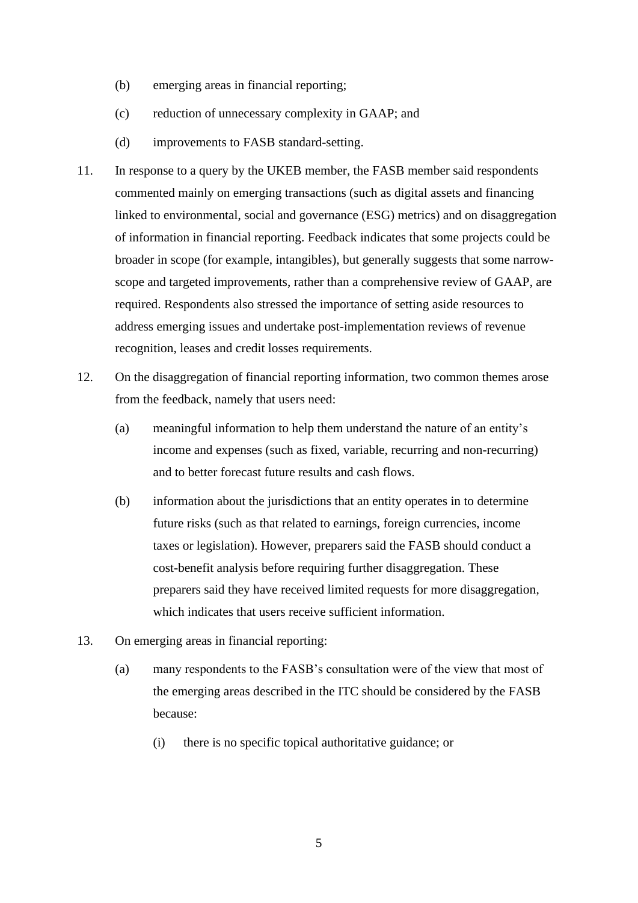- (b) emerging areas in financial reporting;
- (c) reduction of unnecessary complexity in GAAP; and
- (d) improvements to FASB standard-setting.
- 11. In response to a query by the UKEB member, the FASB member said respondents commented mainly on emerging transactions (such as digital assets and financing linked to environmental, social and governance (ESG) metrics) and on disaggregation of information in financial reporting. Feedback indicates that some projects could be broader in scope (for example, intangibles), but generally suggests that some narrowscope and targeted improvements, rather than a comprehensive review of GAAP, are required. Respondents also stressed the importance of setting aside resources to address emerging issues and undertake post-implementation reviews of revenue recognition, leases and credit losses requirements.
- 12. On the disaggregation of financial reporting information, two common themes arose from the feedback, namely that users need:
	- (a) meaningful information to help them understand the nature of an entity's income and expenses (such as fixed, variable, recurring and non-recurring) and to better forecast future results and cash flows.
	- (b) information about the jurisdictions that an entity operates in to determine future risks (such as that related to earnings, foreign currencies, income taxes or legislation). However, preparers said the FASB should conduct a cost-benefit analysis before requiring further disaggregation. These preparers said they have received limited requests for more disaggregation, which indicates that users receive sufficient information.
- 13. On emerging areas in financial reporting:
	- (a) many respondents to the FASB's consultation were of the view that most of the emerging areas described in the ITC should be considered by the FASB because:
		- (i) there is no specific topical authoritative guidance; or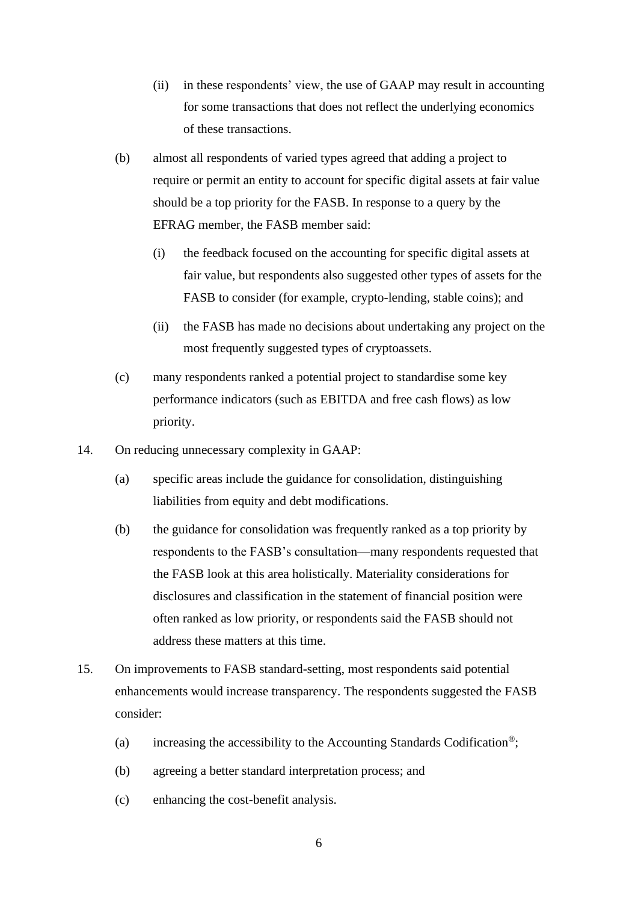- (ii) in these respondents' view, the use of GAAP may result in accounting for some transactions that does not reflect the underlying economics of these transactions.
- (b) almost all respondents of varied types agreed that adding a project to require or permit an entity to account for specific digital assets at fair value should be a top priority for the FASB. In response to a query by the EFRAG member, the FASB member said:
	- (i) the feedback focused on the accounting for specific digital assets at fair value, but respondents also suggested other types of assets for the FASB to consider (for example, crypto-lending, stable coins); and
	- (ii) the FASB has made no decisions about undertaking any project on the most frequently suggested types of cryptoassets.
- (c) many respondents ranked a potential project to standardise some key performance indicators (such as EBITDA and free cash flows) as low priority.
- 14. On reducing unnecessary complexity in GAAP:
	- (a) specific areas include the guidance for consolidation, distinguishing liabilities from equity and debt modifications.
	- (b) the guidance for consolidation was frequently ranked as a top priority by respondents to the FASB's consultation—many respondents requested that the FASB look at this area holistically. Materiality considerations for disclosures and classification in the statement of financial position were often ranked as low priority, or respondents said the FASB should not address these matters at this time.
- 15. On improvements to FASB standard-setting, most respondents said potential enhancements would increase transparency. The respondents suggested the FASB consider:
	- (a) increasing the accessibility to the Accounting Standards Codification<sup>®</sup>;
	- (b) agreeing a better standard interpretation process; and
	- (c) enhancing the cost-benefit analysis.
		- 6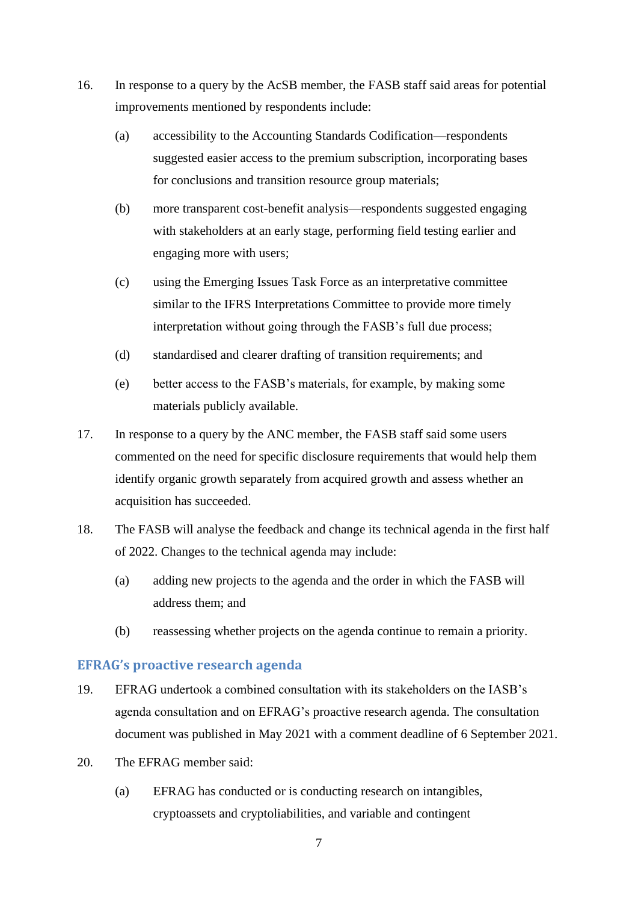- 16. In response to a query by the AcSB member, the FASB staff said areas for potential improvements mentioned by respondents include:
	- (a) accessibility to the Accounting Standards Codification—respondents suggested easier access to the premium subscription, incorporating bases for conclusions and transition resource group materials;
	- (b) more transparent cost-benefit analysis—respondents suggested engaging with stakeholders at an early stage, performing field testing earlier and engaging more with users;
	- (c) using the Emerging Issues Task Force as an interpretative committee similar to the IFRS Interpretations Committee to provide more timely interpretation without going through the FASB's full due process;
	- (d) standardised and clearer drafting of transition requirements; and
	- (e) better access to the FASB's materials, for example, by making some materials publicly available.
- 17. In response to a query by the ANC member, the FASB staff said some users commented on the need for specific disclosure requirements that would help them identify organic growth separately from acquired growth and assess whether an acquisition has succeeded.
- 18. The FASB will analyse the feedback and change its technical agenda in the first half of 2022. Changes to the technical agenda may include:
	- (a) adding new projects to the agenda and the order in which the FASB will address them; and
	- (b) reassessing whether projects on the agenda continue to remain a priority.

# **EFRAG's proactive research agenda**

- 19. EFRAG undertook a combined consultation with its stakeholders on the IASB's agenda consultation and on EFRAG's proactive research agenda. The consultation document was published in May 2021 with a comment deadline of 6 September 2021.
- 20. The EFRAG member said:
	- (a) EFRAG has conducted or is conducting research on intangibles, cryptoassets and cryptoliabilities, and variable and contingent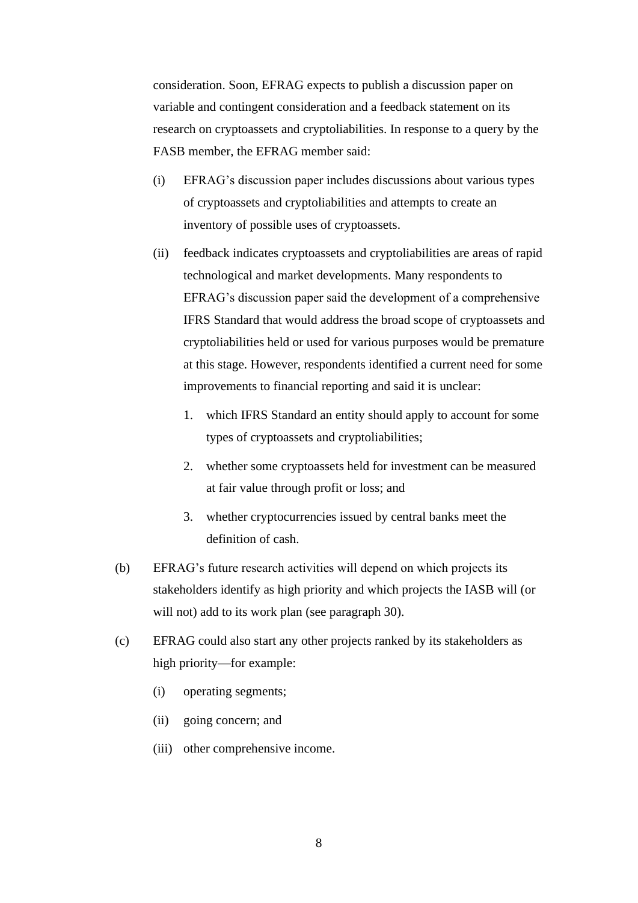consideration. Soon, EFRAG expects to publish a discussion paper on variable and contingent consideration and a feedback statement on its research on cryptoassets and cryptoliabilities. In response to a query by the FASB member, the EFRAG member said:

- (i) EFRAG's discussion paper includes discussions about various types of cryptoassets and cryptoliabilities and attempts to create an inventory of possible uses of cryptoassets.
- (ii) feedback indicates cryptoassets and cryptoliabilities are areas of rapid technological and market developments. Many respondents to EFRAG's discussion paper said the development of a comprehensive IFRS Standard that would address the broad scope of cryptoassets and cryptoliabilities held or used for various purposes would be premature at this stage. However, respondents identified a current need for some improvements to financial reporting and said it is unclear:
	- 1. which IFRS Standard an entity should apply to account for some types of cryptoassets and cryptoliabilities;
	- 2. whether some cryptoassets held for investment can be measured at fair value through profit or loss; and
	- 3. whether cryptocurrencies issued by central banks meet the definition of cash.
- (b) EFRAG's future research activities will depend on which projects its stakeholders identify as high priority and which projects the IASB will (or will not) add to its work plan (see paragraph [30\)](#page-11-0).
- (c) EFRAG could also start any other projects ranked by its stakeholders as high priority—for example:
	- (i) operating segments;
	- (ii) going concern; and
	- (iii) other comprehensive income.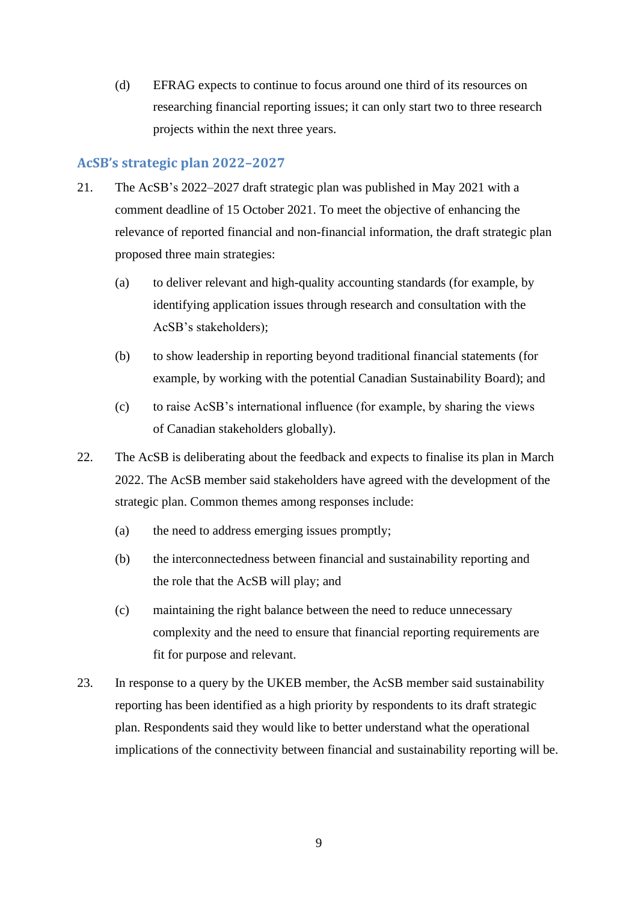(d) EFRAG expects to continue to focus around one third of its resources on researching financial reporting issues; it can only start two to three research projects within the next three years.

## **AcSB's strategic plan 2022–2027**

- 21. The AcSB's 2022–2027 draft strategic plan was published in May 2021 with a comment deadline of 15 October 2021. To meet the objective of enhancing the relevance of reported financial and non-financial information, the draft strategic plan proposed three main strategies:
	- (a) to deliver relevant and high-quality accounting standards (for example, by identifying application issues through research and consultation with the AcSB's stakeholders);
	- (b) to show leadership in reporting beyond traditional financial statements (for example, by working with the potential Canadian Sustainability Board); and
	- (c) to raise AcSB's international influence (for example, by sharing the views of Canadian stakeholders globally).
- 22. The AcSB is deliberating about the feedback and expects to finalise its plan in March 2022. The AcSB member said stakeholders have agreed with the development of the strategic plan. Common themes among responses include:
	- (a) the need to address emerging issues promptly;
	- (b) the interconnectedness between financial and sustainability reporting and the role that the AcSB will play; and
	- (c) maintaining the right balance between the need to reduce unnecessary complexity and the need to ensure that financial reporting requirements are fit for purpose and relevant.
- 23. In response to a query by the UKEB member, the AcSB member said sustainability reporting has been identified as a high priority by respondents to its draft strategic plan. Respondents said they would like to better understand what the operational implications of the connectivity between financial and sustainability reporting will be.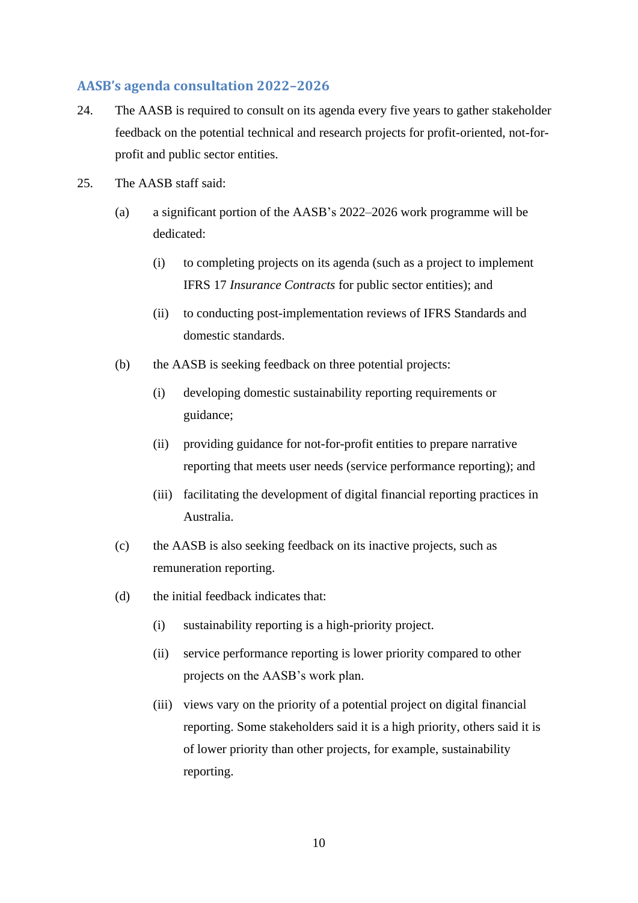## **AASB's agenda consultation 2022–2026**

- 24. The AASB is required to consult on its agenda every five years to gather stakeholder feedback on the potential technical and research projects for profit-oriented, not-forprofit and public sector entities.
- 25. The AASB staff said:
	- (a) a significant portion of the AASB's 2022–2026 work programme will be dedicated:
		- (i) to completing projects on its agenda (such as a project to implement IFRS 17 *Insurance Contracts* for public sector entities); and
		- (ii) to conducting post-implementation reviews of IFRS Standards and domestic standards.
	- (b) the AASB is seeking feedback on three potential projects:
		- (i) developing domestic sustainability reporting requirements or guidance;
		- (ii) providing guidance for not-for-profit entities to prepare narrative reporting that meets user needs (service performance reporting); and
		- (iii) facilitating the development of digital financial reporting practices in Australia.
	- (c) the AASB is also seeking feedback on its inactive projects, such as remuneration reporting.
	- (d) the initial feedback indicates that:
		- (i) sustainability reporting is a high-priority project.
		- (ii) service performance reporting is lower priority compared to other projects on the AASB's work plan.
		- (iii) views vary on the priority of a potential project on digital financial reporting. Some stakeholders said it is a high priority, others said it is of lower priority than other projects, for example, sustainability reporting.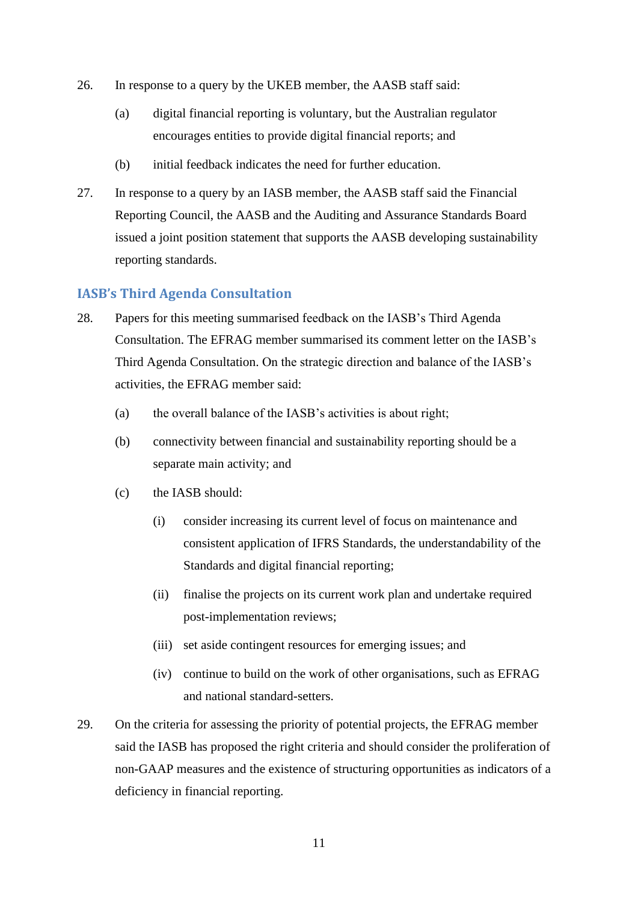- 26. In response to a query by the UKEB member, the AASB staff said:
	- (a) digital financial reporting is voluntary, but the Australian regulator encourages entities to provide digital financial reports; and
	- (b) initial feedback indicates the need for further education.
- 27. In response to a query by an IASB member, the AASB staff said the Financial Reporting Council, the AASB and the Auditing and Assurance Standards Board issued a joint position statement that supports the AASB developing sustainability reporting standards.

### **IASB's Third Agenda Consultation**

- 28. Papers for this meeting summarised feedback on the IASB's Third Agenda Consultation. The EFRAG member summarised its comment letter on the IASB's Third Agenda Consultation. On the strategic direction and balance of the IASB's activities, the EFRAG member said:
	- (a) the overall balance of the IASB's activities is about right;
	- (b) connectivity between financial and sustainability reporting should be a separate main activity; and
	- (c) the IASB should:
		- (i) consider increasing its current level of focus on maintenance and consistent application of IFRS Standards, the understandability of the Standards and digital financial reporting;
		- (ii) finalise the projects on its current work plan and undertake required post-implementation reviews;
		- (iii) set aside contingent resources for emerging issues; and
		- (iv) continue to build on the work of other organisations, such as EFRAG and national standard-setters.
- 29. On the criteria for assessing the priority of potential projects, the EFRAG member said the IASB has proposed the right criteria and should consider the proliferation of non-GAAP measures and the existence of structuring opportunities as indicators of a deficiency in financial reporting.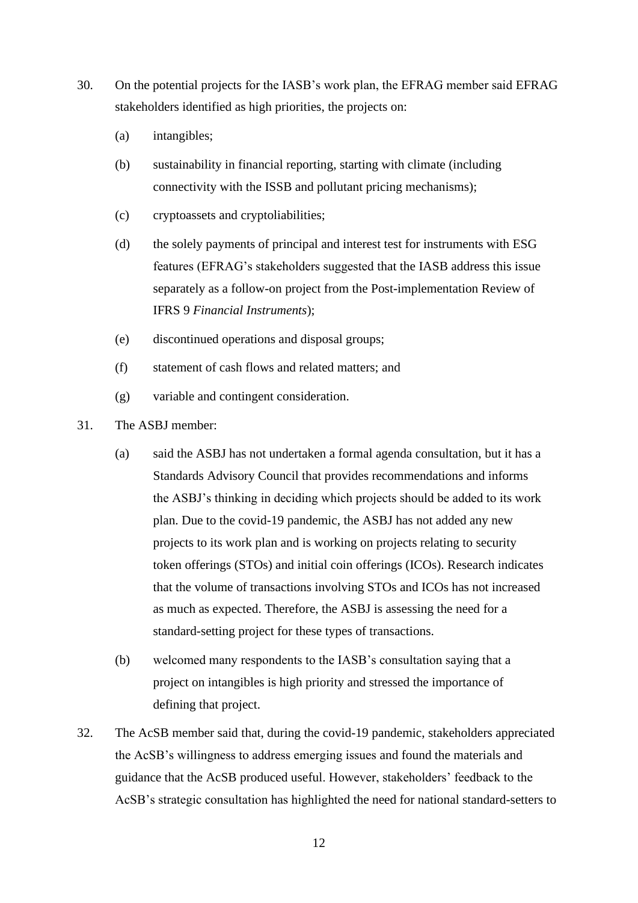- <span id="page-11-0"></span>30. On the potential projects for the IASB's work plan, the EFRAG member said EFRAG stakeholders identified as high priorities, the projects on:
	- (a) intangibles;
	- (b) sustainability in financial reporting, starting with climate (including connectivity with the ISSB and pollutant pricing mechanisms);
	- (c) cryptoassets and cryptoliabilities;
	- (d) the solely payments of principal and interest test for instruments with ESG features (EFRAG's stakeholders suggested that the IASB address this issue separately as a follow-on project from the Post-implementation Review of IFRS 9 *Financial Instruments*);
	- (e) discontinued operations and disposal groups;
	- (f) statement of cash flows and related matters; and
	- (g) variable and contingent consideration.
- 31. The ASBJ member:
	- (a) said the ASBJ has not undertaken a formal agenda consultation, but it has a Standards Advisory Council that provides recommendations and informs the ASBJ's thinking in deciding which projects should be added to its work plan. Due to the covid-19 pandemic, the ASBJ has not added any new projects to its work plan and is working on projects relating to security token offerings (STOs) and initial coin offerings (ICOs). Research indicates that the volume of transactions involving STOs and ICOs has not increased as much as expected. Therefore, the ASBJ is assessing the need for a standard-setting project for these types of transactions.
	- (b) welcomed many respondents to the IASB's consultation saying that a project on intangibles is high priority and stressed the importance of defining that project.
- 32. The AcSB member said that, during the covid-19 pandemic, stakeholders appreciated the AcSB's willingness to address emerging issues and found the materials and guidance that the AcSB produced useful. However, stakeholders' feedback to the AcSB's strategic consultation has highlighted the need for national standard-setters to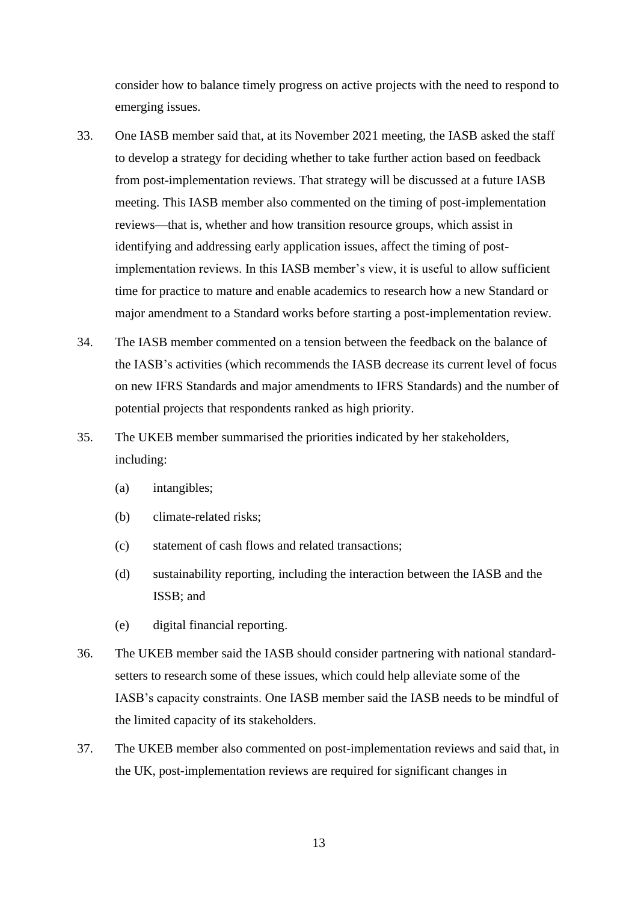consider how to balance timely progress on active projects with the need to respond to emerging issues.

- 33. One IASB member said that, at its November 2021 meeting, the IASB asked the staff to develop a strategy for deciding whether to take further action based on feedback from post-implementation reviews. That strategy will be discussed at a future IASB meeting. This IASB member also commented on the timing of post-implementation reviews—that is, whether and how transition resource groups, which assist in identifying and addressing early application issues, affect the timing of postimplementation reviews. In this IASB member's view, it is useful to allow sufficient time for practice to mature and enable academics to research how a new Standard or major amendment to a Standard works before starting a post-implementation review.
- 34. The IASB member commented on a tension between the feedback on the balance of the IASB's activities (which recommends the IASB decrease its current level of focus on new IFRS Standards and major amendments to IFRS Standards) and the number of potential projects that respondents ranked as high priority.
- 35. The UKEB member summarised the priorities indicated by her stakeholders, including:
	- (a) intangibles;
	- (b) climate-related risks;
	- (c) statement of cash flows and related transactions;
	- (d) sustainability reporting, including the interaction between the IASB and the ISSB; and
	- (e) digital financial reporting.
- 36. The UKEB member said the IASB should consider partnering with national standardsetters to research some of these issues, which could help alleviate some of the IASB's capacity constraints. One IASB member said the IASB needs to be mindful of the limited capacity of its stakeholders.
- 37. The UKEB member also commented on post-implementation reviews and said that, in the UK, post-implementation reviews are required for significant changes in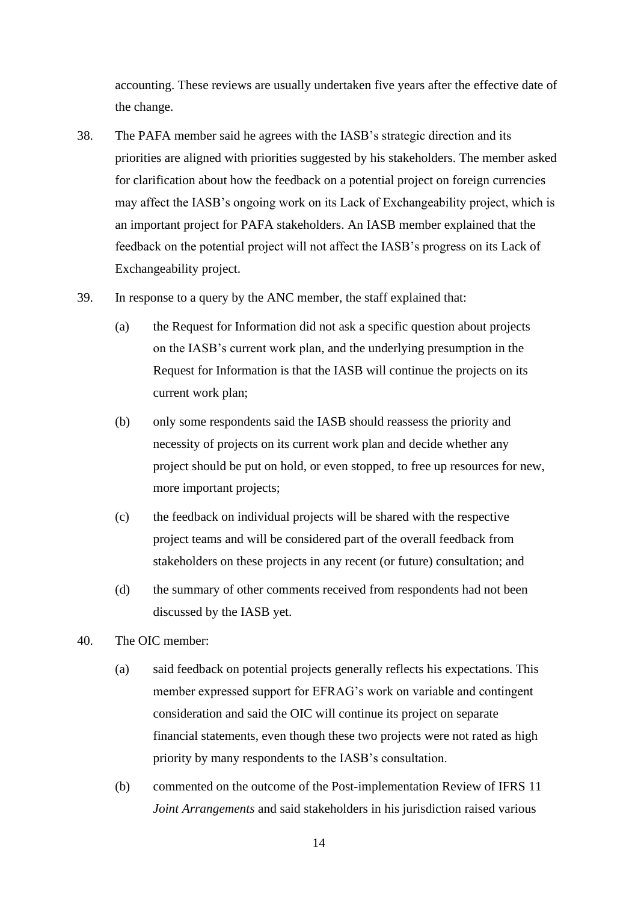accounting. These reviews are usually undertaken five years after the effective date of the change.

- 38. The PAFA member said he agrees with the IASB's strategic direction and its priorities are aligned with priorities suggested by his stakeholders. The member asked for clarification about how the feedback on a potential project on foreign currencies may affect the IASB's ongoing work on its Lack of Exchangeability project, which is an important project for PAFA stakeholders. An IASB member explained that the feedback on the potential project will not affect the IASB's progress on its Lack of Exchangeability project.
- 39. In response to a query by the ANC member, the staff explained that:
	- (a) the Request for Information did not ask a specific question about projects on the IASB's current work plan, and the underlying presumption in the Request for Information is that the IASB will continue the projects on its current work plan;
	- (b) only some respondents said the IASB should reassess the priority and necessity of projects on its current work plan and decide whether any project should be put on hold, or even stopped, to free up resources for new, more important projects;
	- (c) the feedback on individual projects will be shared with the respective project teams and will be considered part of the overall feedback from stakeholders on these projects in any recent (or future) consultation; and
	- (d) the summary of other comments received from respondents had not been discussed by the IASB yet.
- 40. The OIC member:
	- (a) said feedback on potential projects generally reflects his expectations. This member expressed support for EFRAG's work on variable and contingent consideration and said the OIC will continue its project on separate financial statements, even though these two projects were not rated as high priority by many respondents to the IASB's consultation.
	- (b) commented on the outcome of the Post-implementation Review of IFRS 11 *Joint Arrangements* and said stakeholders in his jurisdiction raised various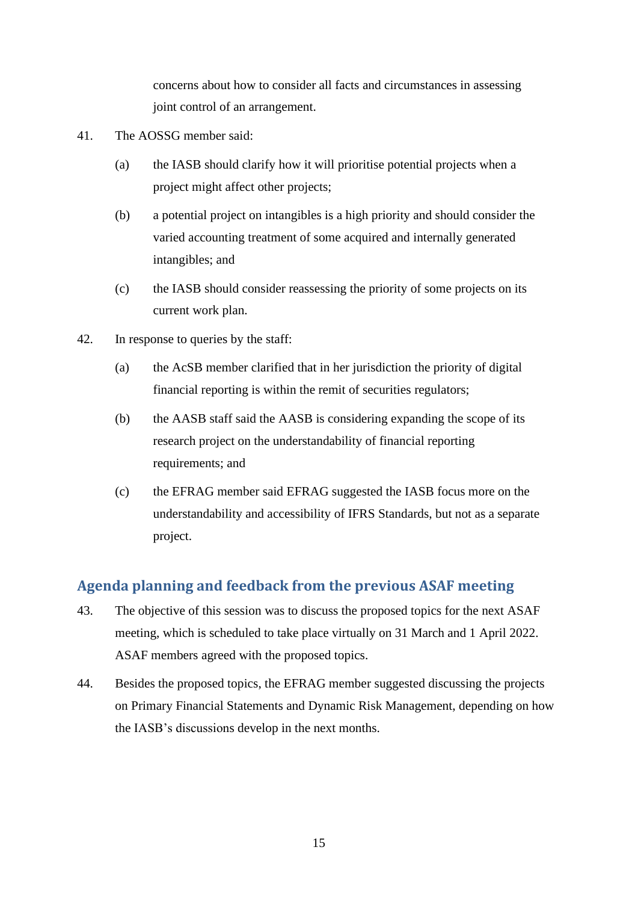concerns about how to consider all facts and circumstances in assessing joint control of an arrangement.

- 41. The AOSSG member said:
	- (a) the IASB should clarify how it will prioritise potential projects when a project might affect other projects;
	- (b) a potential project on intangibles is a high priority and should consider the varied accounting treatment of some acquired and internally generated intangibles; and
	- (c) the IASB should consider reassessing the priority of some projects on its current work plan.
- 42. In response to queries by the staff:
	- (a) the AcSB member clarified that in her jurisdiction the priority of digital financial reporting is within the remit of securities regulators;
	- (b) the AASB staff said the AASB is considering expanding the scope of its research project on the understandability of financial reporting requirements; and
	- (c) the EFRAG member said EFRAG suggested the IASB focus more on the understandability and accessibility of IFRS Standards, but not as a separate project.

# **Agenda planning and feedback from the previous ASAF meeting**

- 43. The objective of this session was to discuss the proposed topics for the next ASAF meeting, which is scheduled to take place virtually on 31 March and 1 April 2022. ASAF members agreed with the proposed topics.
- 44. Besides the proposed topics, the EFRAG member suggested discussing the projects on Primary Financial Statements and Dynamic Risk Management, depending on how the IASB's discussions develop in the next months.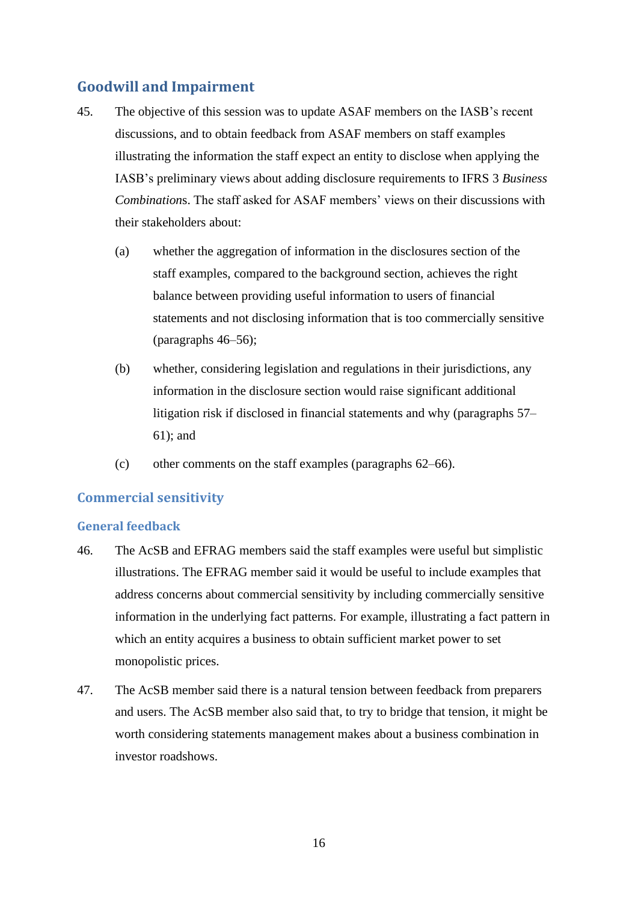# **Goodwill and Impairment**

- 45. The objective of this session was to update ASAF members on the IASB's recent discussions, and to obtain feedback from ASAF members on staff examples illustrating the information the staff expect an entity to disclose when applying the IASB's preliminary views about adding disclosure requirements to IFRS 3 *Business Combination*s. The staff asked for ASAF members' views on their discussions with their stakeholders about:
	- (a) whether the aggregation of information in the disclosures section of the staff examples, compared to the background section, achieves the right balance between providing useful information to users of financial statements and not disclosing information that is too commercially sensitive (paragraphs [46–](#page-15-0)[56\)](#page-17-0);
	- (b) whether, considering legislation and regulations in their jurisdictions, any information in the disclosure section would raise significant additional litigation risk if disclosed in financial statements and why (paragraphs [57–](#page-17-1) [61\)](#page-18-0); and
	- (c) other comments on the staff examples (paragraphs [62–](#page-18-1)[66\)](#page-19-0).

## **Commercial sensitivity**

#### **General feedback**

- <span id="page-15-0"></span>46. The AcSB and EFRAG members said the staff examples were useful but simplistic illustrations. The EFRAG member said it would be useful to include examples that address concerns about commercial sensitivity by including commercially sensitive information in the underlying fact patterns. For example, illustrating a fact pattern in which an entity acquires a business to obtain sufficient market power to set monopolistic prices.
- 47. The AcSB member said there is a natural tension between feedback from preparers and users. The AcSB member also said that, to try to bridge that tension, it might be worth considering statements management makes about a business combination in investor roadshows.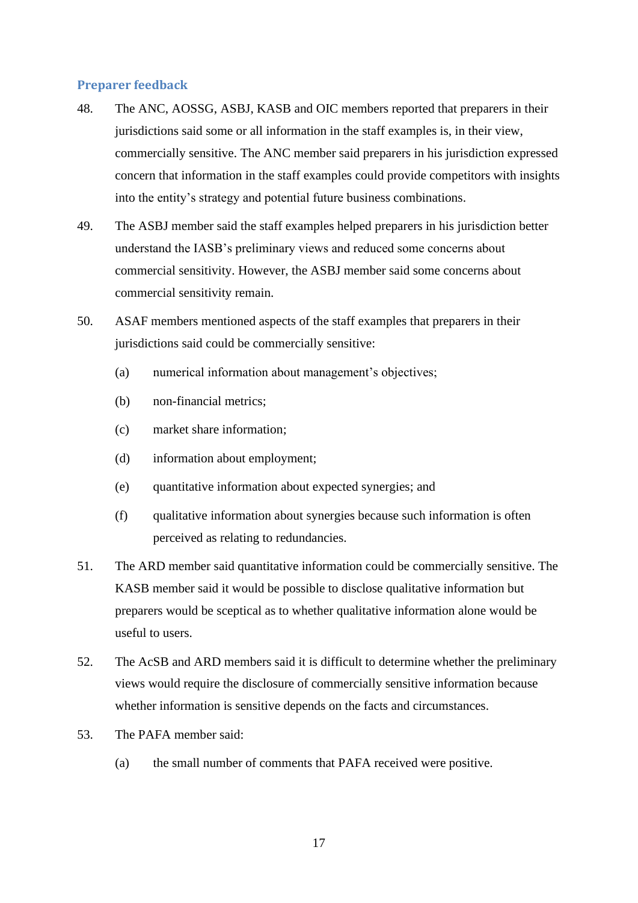#### **Preparer feedback**

- 48. The ANC, AOSSG, ASBJ, KASB and OIC members reported that preparers in their jurisdictions said some or all information in the staff examples is, in their view, commercially sensitive. The ANC member said preparers in his jurisdiction expressed concern that information in the staff examples could provide competitors with insights into the entity's strategy and potential future business combinations.
- 49. The ASBJ member said the staff examples helped preparers in his jurisdiction better understand the IASB's preliminary views and reduced some concerns about commercial sensitivity. However, the ASBJ member said some concerns about commercial sensitivity remain.
- 50. ASAF members mentioned aspects of the staff examples that preparers in their jurisdictions said could be commercially sensitive:
	- (a) numerical information about management's objectives;
	- (b) non-financial metrics;
	- (c) market share information;
	- (d) information about employment;
	- (e) quantitative information about expected synergies; and
	- (f) qualitative information about synergies because such information is often perceived as relating to redundancies.
- 51. The ARD member said quantitative information could be commercially sensitive. The KASB member said it would be possible to disclose qualitative information but preparers would be sceptical as to whether qualitative information alone would be useful to users.
- 52. The AcSB and ARD members said it is difficult to determine whether the preliminary views would require the disclosure of commercially sensitive information because whether information is sensitive depends on the facts and circumstances.
- 53. The PAFA member said:
	- (a) the small number of comments that PAFA received were positive.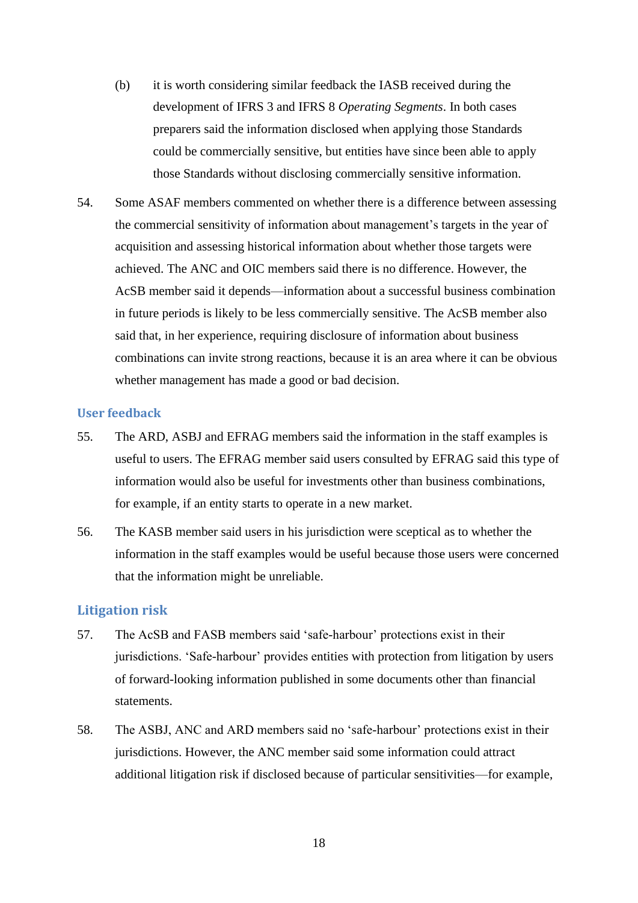- (b) it is worth considering similar feedback the IASB received during the development of IFRS 3 and IFRS 8 *Operating Segments*. In both cases preparers said the information disclosed when applying those Standards could be commercially sensitive, but entities have since been able to apply those Standards without disclosing commercially sensitive information.
- 54. Some ASAF members commented on whether there is a difference between assessing the commercial sensitivity of information about management's targets in the year of acquisition and assessing historical information about whether those targets were achieved. The ANC and OIC members said there is no difference. However, the AcSB member said it depends—information about a successful business combination in future periods is likely to be less commercially sensitive. The AcSB member also said that, in her experience, requiring disclosure of information about business combinations can invite strong reactions, because it is an area where it can be obvious whether management has made a good or bad decision.

#### **User feedback**

- 55. The ARD, ASBJ and EFRAG members said the information in the staff examples is useful to users. The EFRAG member said users consulted by EFRAG said this type of information would also be useful for investments other than business combinations, for example, if an entity starts to operate in a new market.
- <span id="page-17-0"></span>56. The KASB member said users in his jurisdiction were sceptical as to whether the information in the staff examples would be useful because those users were concerned that the information might be unreliable.

#### **Litigation risk**

- <span id="page-17-1"></span>57. The AcSB and FASB members said 'safe-harbour' protections exist in their jurisdictions. 'Safe-harbour' provides entities with protection from litigation by users of forward-looking information published in some documents other than financial statements.
- 58. The ASBJ, ANC and ARD members said no 'safe-harbour' protections exist in their jurisdictions. However, the ANC member said some information could attract additional litigation risk if disclosed because of particular sensitivities—for example,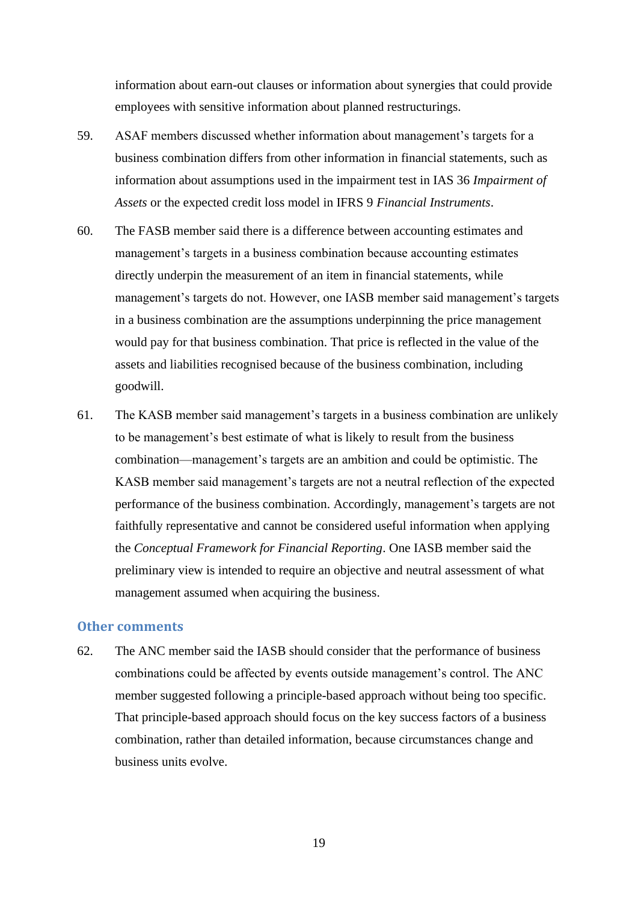information about earn-out clauses or information about synergies that could provide employees with sensitive information about planned restructurings.

- 59. ASAF members discussed whether information about management's targets for a business combination differs from other information in financial statements, such as information about assumptions used in the impairment test in IAS 36 *Impairment of Assets* or the expected credit loss model in IFRS 9 *Financial Instruments*.
- 60. The FASB member said there is a difference between accounting estimates and management's targets in a business combination because accounting estimates directly underpin the measurement of an item in financial statements, while management's targets do not. However, one IASB member said management's targets in a business combination are the assumptions underpinning the price management would pay for that business combination. That price is reflected in the value of the assets and liabilities recognised because of the business combination, including goodwill.
- <span id="page-18-0"></span>61. The KASB member said management's targets in a business combination are unlikely to be management's best estimate of what is likely to result from the business combination—management's targets are an ambition and could be optimistic. The KASB member said management's targets are not a neutral reflection of the expected performance of the business combination. Accordingly, management's targets are not faithfully representative and cannot be considered useful information when applying the *Conceptual Framework for Financial Reporting*. One IASB member said the preliminary view is intended to require an objective and neutral assessment of what management assumed when acquiring the business.

#### **Other comments**

<span id="page-18-1"></span>62. The ANC member said the IASB should consider that the performance of business combinations could be affected by events outside management's control. The ANC member suggested following a principle-based approach without being too specific. That principle-based approach should focus on the key success factors of a business combination, rather than detailed information, because circumstances change and business units evolve.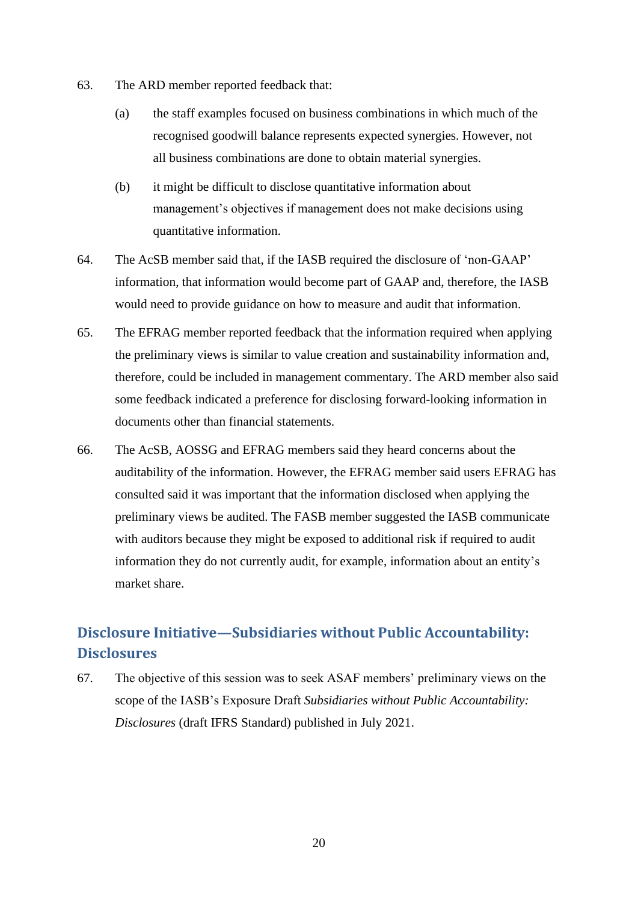- 63. The ARD member reported feedback that:
	- (a) the staff examples focused on business combinations in which much of the recognised goodwill balance represents expected synergies. However, not all business combinations are done to obtain material synergies.
	- (b) it might be difficult to disclose quantitative information about management's objectives if management does not make decisions using quantitative information.
- 64. The AcSB member said that, if the IASB required the disclosure of 'non-GAAP' information, that information would become part of GAAP and, therefore, the IASB would need to provide guidance on how to measure and audit that information.
- 65. The EFRAG member reported feedback that the information required when applying the preliminary views is similar to value creation and sustainability information and, therefore, could be included in management commentary. The ARD member also said some feedback indicated a preference for disclosing forward-looking information in documents other than financial statements.
- <span id="page-19-0"></span>66. The AcSB, AOSSG and EFRAG members said they heard concerns about the auditability of the information. However, the EFRAG member said users EFRAG has consulted said it was important that the information disclosed when applying the preliminary views be audited. The FASB member suggested the IASB communicate with auditors because they might be exposed to additional risk if required to audit information they do not currently audit, for example, information about an entity's market share.

# **Disclosure Initiative—Subsidiaries without Public Accountability: Disclosures**

67. The objective of this session was to seek ASAF members' preliminary views on the scope of the IASB's Exposure Draft *Subsidiaries without Public Accountability: Disclosures* (draft IFRS Standard) published in July 2021.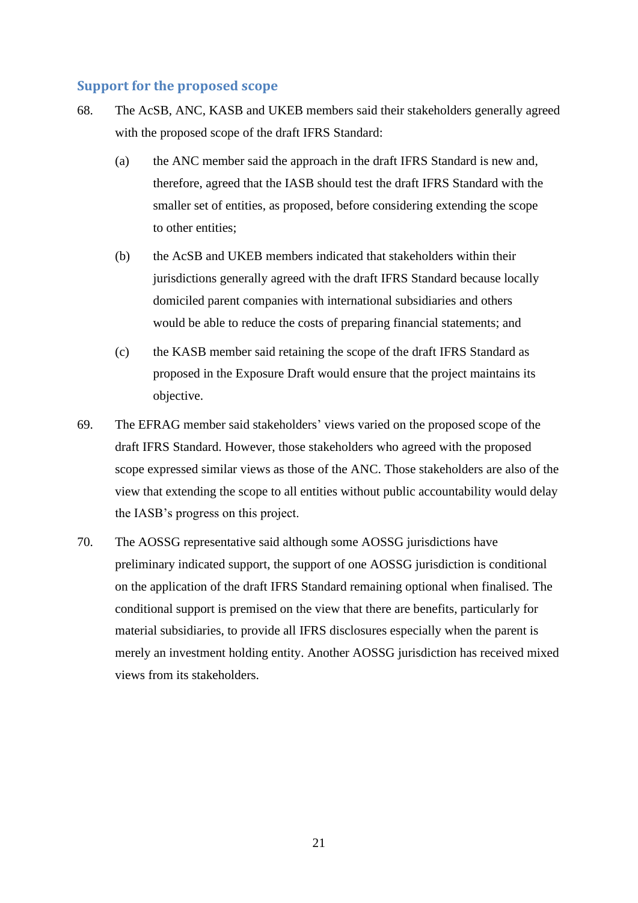#### **Support for the proposed scope**

- 68. The AcSB, ANC, KASB and UKEB members said their stakeholders generally agreed with the proposed scope of the draft IFRS Standard:
	- (a) the ANC member said the approach in the draft IFRS Standard is new and, therefore, agreed that the IASB should test the draft IFRS Standard with the smaller set of entities, as proposed, before considering extending the scope to other entities;
	- (b) the AcSB and UKEB members indicated that stakeholders within their jurisdictions generally agreed with the draft IFRS Standard because locally domiciled parent companies with international subsidiaries and others would be able to reduce the costs of preparing financial statements; and
	- (c) the KASB member said retaining the scope of the draft IFRS Standard as proposed in the Exposure Draft would ensure that the project maintains its objective.
- 69. The EFRAG member said stakeholders' views varied on the proposed scope of the draft IFRS Standard. However, those stakeholders who agreed with the proposed scope expressed similar views as those of the ANC. Those stakeholders are also of the view that extending the scope to all entities without public accountability would delay the IASB's progress on this project.
- 70. The AOSSG representative said although some AOSSG jurisdictions have preliminary indicated support, the support of one AOSSG jurisdiction is conditional on the application of the draft IFRS Standard remaining optional when finalised. The conditional support is premised on the view that there are benefits, particularly for material subsidiaries, to provide all IFRS disclosures especially when the parent is merely an investment holding entity. Another AOSSG jurisdiction has received mixed views from its stakeholders.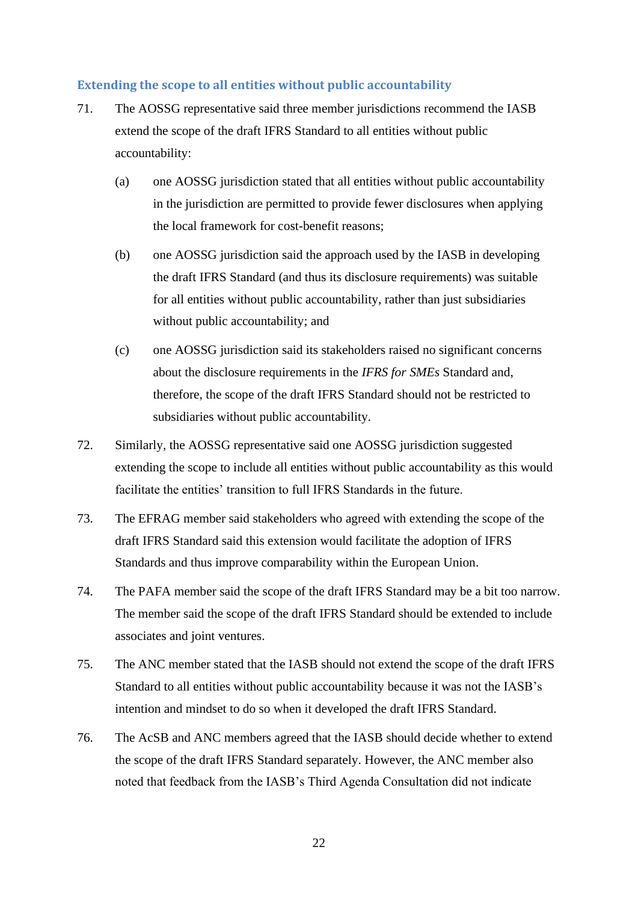#### **Extending the scope to all entities without public accountability**

- 71. The AOSSG representative said three member jurisdictions recommend the IASB extend the scope of the draft IFRS Standard to all entities without public accountability:
	- (a) one AOSSG jurisdiction stated that all entities without public accountability in the jurisdiction are permitted to provide fewer disclosures when applying the local framework for cost-benefit reasons;
	- (b) one AOSSG jurisdiction said the approach used by the IASB in developing the draft IFRS Standard (and thus its disclosure requirements) was suitable for all entities without public accountability, rather than just subsidiaries without public accountability; and
	- (c) one AOSSG jurisdiction said its stakeholders raised no significant concerns about the disclosure requirements in the *IFRS for SMEs* Standard and, therefore, the scope of the draft IFRS Standard should not be restricted to subsidiaries without public accountability.
- 72. Similarly, the AOSSG representative said one AOSSG jurisdiction suggested extending the scope to include all entities without public accountability as this would facilitate the entities' transition to full IFRS Standards in the future.
- 73. The EFRAG member said stakeholders who agreed with extending the scope of the draft IFRS Standard said this extension would facilitate the adoption of IFRS Standards and thus improve comparability within the European Union.
- 74. The PAFA member said the scope of the draft IFRS Standard may be a bit too narrow. The member said the scope of the draft IFRS Standard should be extended to include associates and joint ventures.
- 75. The ANC member stated that the IASB should not extend the scope of the draft IFRS Standard to all entities without public accountability because it was not the IASB's intention and mindset to do so when it developed the draft IFRS Standard.
- 76. The AcSB and ANC members agreed that the IASB should decide whether to extend the scope of the draft IFRS Standard separately. However, the ANC member also noted that feedback from the IASB's Third Agenda Consultation did not indicate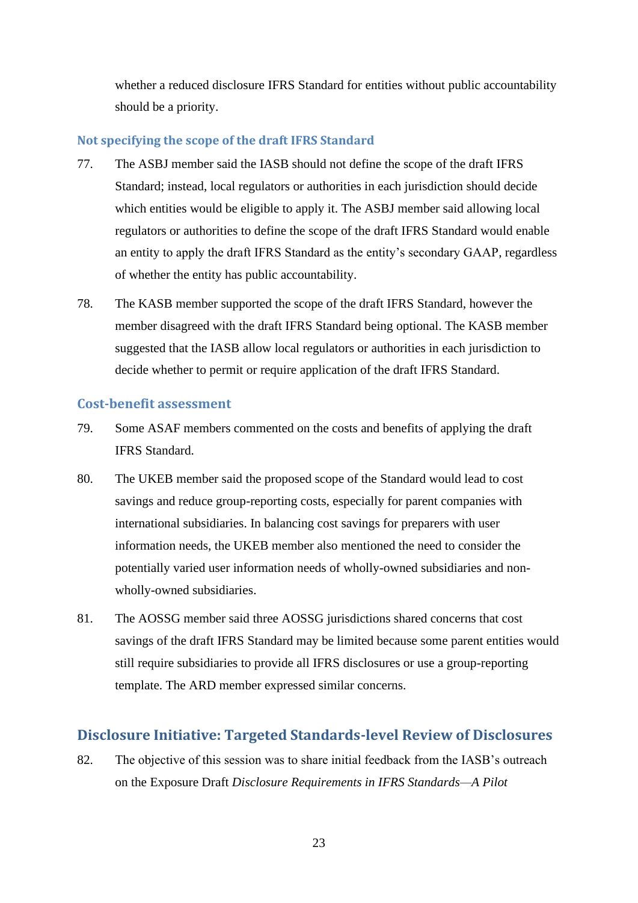whether a reduced disclosure IFRS Standard for entities without public accountability should be a priority.

### **Not specifying the scope of the draft IFRS Standard**

- 77. The ASBJ member said the IASB should not define the scope of the draft IFRS Standard; instead, local regulators or authorities in each jurisdiction should decide which entities would be eligible to apply it. The ASBJ member said allowing local regulators or authorities to define the scope of the draft IFRS Standard would enable an entity to apply the draft IFRS Standard as the entity's secondary GAAP, regardless of whether the entity has public accountability.
- 78. The KASB member supported the scope of the draft IFRS Standard, however the member disagreed with the draft IFRS Standard being optional. The KASB member suggested that the IASB allow local regulators or authorities in each jurisdiction to decide whether to permit or require application of the draft IFRS Standard.

### **Cost-benefit assessment**

- 79. Some ASAF members commented on the costs and benefits of applying the draft IFRS Standard.
- 80. The UKEB member said the proposed scope of the Standard would lead to cost savings and reduce group-reporting costs, especially for parent companies with international subsidiaries. In balancing cost savings for preparers with user information needs, the UKEB member also mentioned the need to consider the potentially varied user information needs of wholly-owned subsidiaries and nonwholly-owned subsidiaries.
- 81. The AOSSG member said three AOSSG jurisdictions shared concerns that cost savings of the draft IFRS Standard may be limited because some parent entities would still require subsidiaries to provide all IFRS disclosures or use a group-reporting template. The ARD member expressed similar concerns.

## **Disclosure Initiative: Targeted Standards-level Review of Disclosures**

82. The objective of this session was to share initial feedback from the IASB's outreach on the Exposure Draft *Disclosure Requirements in IFRS Standards—A Pilot*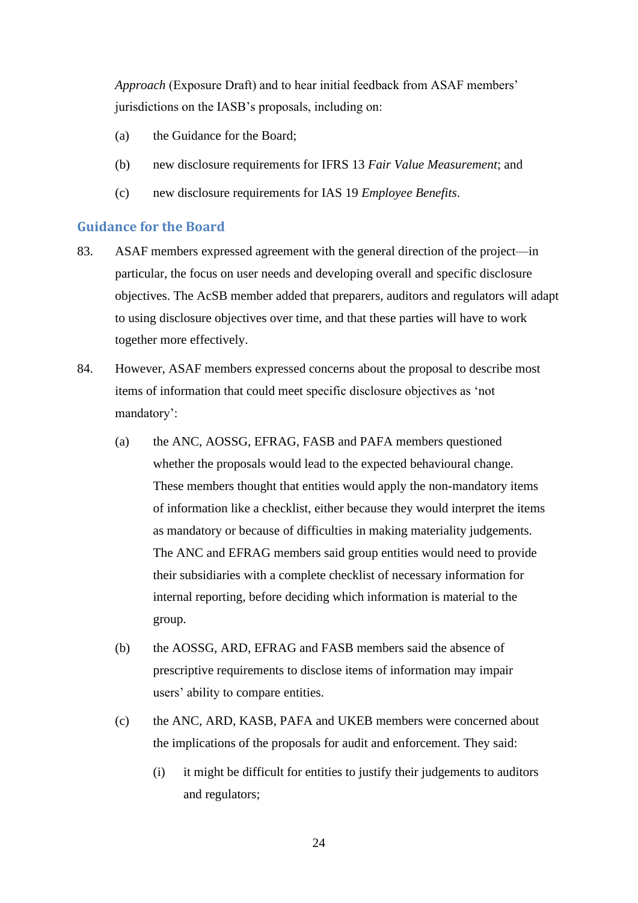*Approach* (Exposure Draft) and to hear initial feedback from ASAF members' jurisdictions on the IASB's proposals, including on:

- (a) the Guidance for the Board;
- (b) new disclosure requirements for IFRS 13 *Fair Value Measurement*; and
- (c) new disclosure requirements for IAS 19 *Employee Benefits*.

#### **Guidance for the Board**

- 83. ASAF members expressed agreement with the general direction of the project—in particular, the focus on user needs and developing overall and specific disclosure objectives. The AcSB member added that preparers, auditors and regulators will adapt to using disclosure objectives over time, and that these parties will have to work together more effectively.
- 84. However, ASAF members expressed concerns about the proposal to describe most items of information that could meet specific disclosure objectives as 'not mandatory':
	- (a) the ANC, AOSSG, EFRAG, FASB and PAFA members questioned whether the proposals would lead to the expected behavioural change. These members thought that entities would apply the non-mandatory items of information like a checklist, either because they would interpret the items as mandatory or because of difficulties in making materiality judgements. The ANC and EFRAG members said group entities would need to provide their subsidiaries with a complete checklist of necessary information for internal reporting, before deciding which information is material to the group.
	- (b) the AOSSG, ARD, EFRAG and FASB members said the absence of prescriptive requirements to disclose items of information may impair users' ability to compare entities.
	- (c) the ANC, ARD, KASB, PAFA and UKEB members were concerned about the implications of the proposals for audit and enforcement. They said:
		- (i) it might be difficult for entities to justify their judgements to auditors and regulators;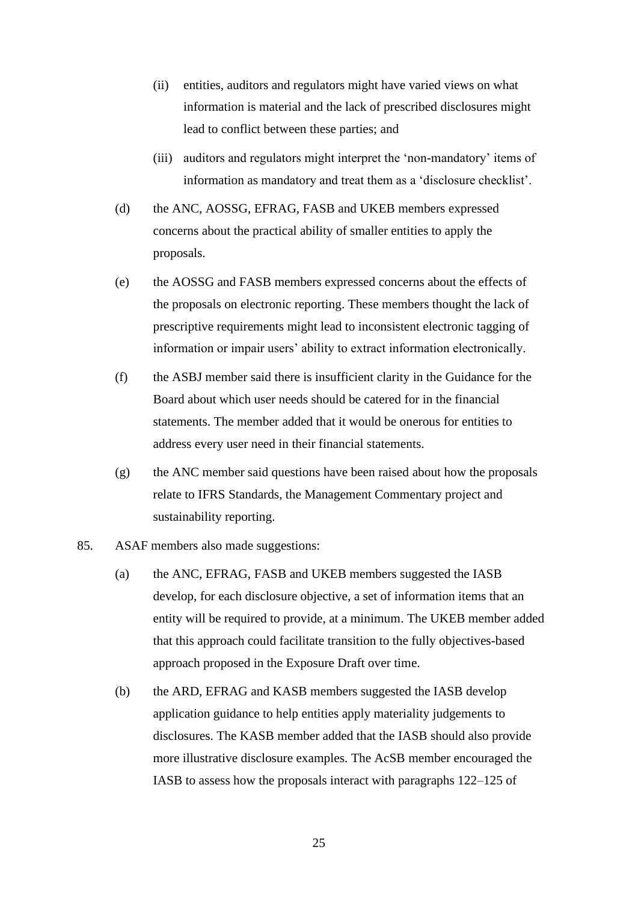- (ii) entities, auditors and regulators might have varied views on what information is material and the lack of prescribed disclosures might lead to conflict between these parties; and
- (iii) auditors and regulators might interpret the 'non-mandatory' items of information as mandatory and treat them as a 'disclosure checklist'.
- (d) the ANC, AOSSG, EFRAG, FASB and UKEB members expressed concerns about the practical ability of smaller entities to apply the proposals.
- (e) the AOSSG and FASB members expressed concerns about the effects of the proposals on electronic reporting. These members thought the lack of prescriptive requirements might lead to inconsistent electronic tagging of information or impair users' ability to extract information electronically.
- (f) the ASBJ member said there is insufficient clarity in the Guidance for the Board about which user needs should be catered for in the financial statements. The member added that it would be onerous for entities to address every user need in their financial statements.
- (g) the ANC member said questions have been raised about how the proposals relate to IFRS Standards, the Management Commentary project and sustainability reporting.
- 85. ASAF members also made suggestions:
	- (a) the ANC, EFRAG, FASB and UKEB members suggested the IASB develop, for each disclosure objective, a set of information items that an entity will be required to provide, at a minimum. The UKEB member added that this approach could facilitate transition to the fully objectives-based approach proposed in the Exposure Draft over time.
	- (b) the ARD, EFRAG and KASB members suggested the IASB develop application guidance to help entities apply materiality judgements to disclosures. The KASB member added that the IASB should also provide more illustrative disclosure examples. The AcSB member encouraged the IASB to assess how the proposals interact with paragraphs 122–125 of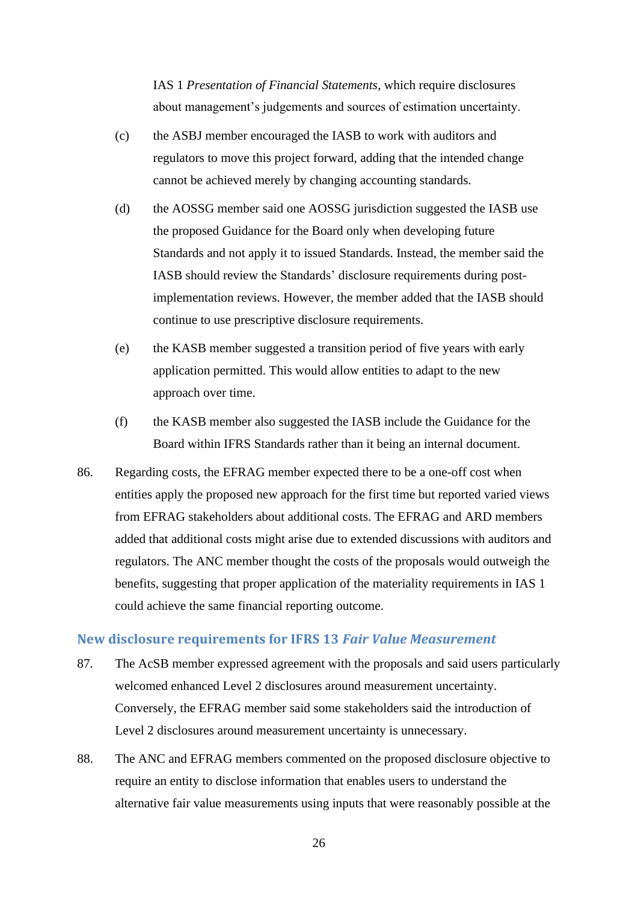IAS 1 *Presentation of Financial Statements*, which require disclosures about management's judgements and sources of estimation uncertainty.

- (c) the ASBJ member encouraged the IASB to work with auditors and regulators to move this project forward, adding that the intended change cannot be achieved merely by changing accounting standards.
- (d) the AOSSG member said one AOSSG jurisdiction suggested the IASB use the proposed Guidance for the Board only when developing future Standards and not apply it to issued Standards. Instead, the member said the IASB should review the Standards' disclosure requirements during postimplementation reviews. However, the member added that the IASB should continue to use prescriptive disclosure requirements.
- (e) the KASB member suggested a transition period of five years with early application permitted. This would allow entities to adapt to the new approach over time.
- (f) the KASB member also suggested the IASB include the Guidance for the Board within IFRS Standards rather than it being an internal document.
- 86. Regarding costs, the EFRAG member expected there to be a one-off cost when entities apply the proposed new approach for the first time but reported varied views from EFRAG stakeholders about additional costs. The EFRAG and ARD members added that additional costs might arise due to extended discussions with auditors and regulators. The ANC member thought the costs of the proposals would outweigh the benefits, suggesting that proper application of the materiality requirements in IAS 1 could achieve the same financial reporting outcome.

## **New disclosure requirements for IFRS 13** *Fair Value Measurement*

- 87. The AcSB member expressed agreement with the proposals and said users particularly welcomed enhanced Level 2 disclosures around measurement uncertainty. Conversely, the EFRAG member said some stakeholders said the introduction of Level 2 disclosures around measurement uncertainty is unnecessary.
- 88. The ANC and EFRAG members commented on the proposed disclosure objective to require an entity to disclose information that enables users to understand the alternative fair value measurements using inputs that were reasonably possible at the